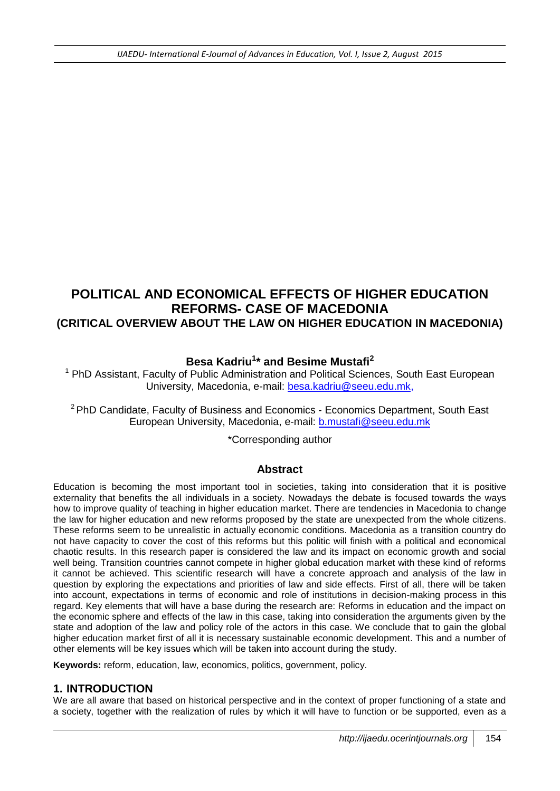# **POLITICAL AND ECONOMICAL EFFECTS OF HIGHER EDUCATION REFORMS- CASE OF MACEDONIA (CRITICAL OVERVIEW ABOUT THE LAW ON HIGHER EDUCATION IN MACEDONIA)**

# **Besa Kadriu<sup>1</sup> \* and Besime Mustafi<sup>2</sup>**

 $1$  PhD Assistant, Faculty of Public Administration and Political Sciences, South East European University, Macedonia, e-mail: [besa.kadriu@seeu.edu.mk,](mailto:besa.kadriu@seeu.edu.mk)

 $2$ PhD Candidate, Faculty of Business and Economics - Economics Department, South East European University, Macedonia, e-mail: [b.mustafi@seeu.edu.mk](mailto:b.mustafi@seeu.edu.mk)

\*Corresponding author

### **Abstract**

Education is becoming the most important tool in societies, taking into consideration that it is positive externality that benefits the all individuals in a society. Nowadays the debate is focused towards the ways how to improve quality of teaching in higher education market. There are tendencies in Macedonia to change the law for higher education and new reforms proposed by the state are unexpected from the whole citizens. These reforms seem to be unrealistic in actually economic conditions. Macedonia as a transition country do not have capacity to cover the cost of this reforms but this politic will finish with a political and economical chaotic results. In this research paper is considered the law and its impact on economic growth and social well being. Transition countries cannot compete in higher global education market with these kind of reforms it cannot be achieved. This scientific research will have a concrete approach and analysis of the law in question by exploring the expectations and priorities of law and side effects. First of all, there will be taken into account, expectations in terms of economic and role of institutions in decision-making process in this regard. Key elements that will have a base during the research are: Reforms in education and the impact on the economic sphere and effects of the law in this case, taking into consideration the arguments given by the state and adoption of the law and policy role of the actors in this case. We conclude that to gain the global higher education market first of all it is necessary sustainable economic development. This and a number of other elements will be key issues which will be taken into account during the study.

**Keywords:** reform, education, law, economics, politics, government, policy.

### **1. INTRODUCTION**

We are all aware that based on historical perspective and in the context of proper functioning of a state and a society, together with the realization of rules by which it will have to function or be supported, even as a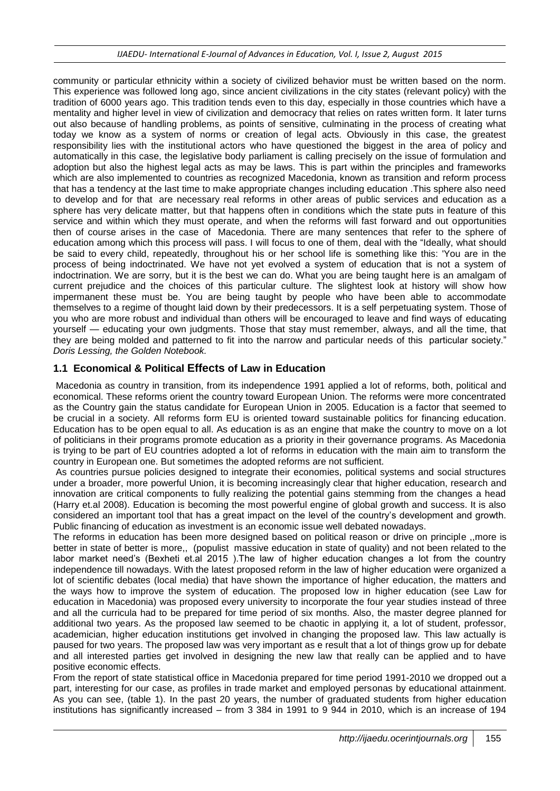community or particular ethnicity within a society of civilized behavior must be written based on the norm. This experience was followed long ago, since ancient civilizations in the city states (relevant policy) with the tradition of 6000 years ago. This tradition tends even to this day, especially in those countries which have a mentality and higher level in view of civilization and democracy that relies on rates written form. It later turns out also because of handling problems, as points of sensitive, culminating in the process of creating what today we know as a system of norms or creation of legal acts. Obviously in this case, the greatest responsibility lies with the institutional actors who have questioned the biggest in the area of policy and automatically in this case, the legislative body parliament is calling precisely on the issue of formulation and adoption but also the highest legal acts as may be laws. This is part within the principles and frameworks which are also implemented to countries as recognized Macedonia, known as transition and reform process that has a tendency at the last time to make appropriate changes including education .This sphere also need to develop and for that are necessary real reforms in other areas of public services and education as a sphere has very delicate matter, but that happens often in conditions which the state puts in feature of this service and within which they must operate, and when the reforms will fast forward and out opportunities then of course arises in the case of Macedonia. There are many sentences that refer to the sphere of education among which this process will pass. I will focus to one of them, deal with the "Ideally, what should be said to every child, repeatedly, throughout his or her school life is something like this: 'You are in the process of being indoctrinated. We have not yet evolved a system of education that is not a system of indoctrination. We are sorry, but it is the best we can do. What you are being taught here is an amalgam of current prejudice and the choices of this particular culture. The slightest look at history will show how impermanent these must be. You are being taught by people who have been able to accommodate themselves to a regime of thought laid down by their predecessors. It is a self perpetuating system. Those of you who are more robust and individual than others will be encouraged to leave and find ways of educating yourself — educating your own judgments. Those that stay must remember, always, and all the time, that they are being molded and patterned to fit into the narrow and particular needs of this particular society." *Doris Lessing, the Golden Notebook.*

## **1.1 Economical & Political Effects of Law in Education**

Macedonia as country in transition, from its independence 1991 applied a lot of reforms, both, political and economical. These reforms orient the country toward European Union. The reforms were more concentrated as the Country gain the status candidate for European Union in 2005. Education is a factor that seemed to be crucial in a society. All reforms form EU is oriented toward sustainable politics for financing education. Education has to be open equal to all. As education is as an engine that make the country to move on a lot of politicians in their programs promote education as a priority in their governance programs. As Macedonia is trying to be part of EU countries adopted a lot of reforms in education with the main aim to transform the country in European one. But sometimes the adopted reforms are not sufficient.

As countries pursue policies designed to integrate their economies, political systems and social structures under a broader, more powerful Union, it is becoming increasingly clear that higher education, research and innovation are critical components to fully realizing the potential gains stemming from the changes a head (Harry et.al 2008). Education is becoming the most powerful engine of global growth and success. It is also considered an important tool that has a great impact on the level of the country's development and growth. Public financing of education as investment is an economic issue well debated nowadays.

The reforms in education has been more designed based on political reason or drive on principle ,,more is better in state of better is more,, (populist massive education in state of quality) and not been related to the labor market need's (Bexheti et.al 2015 ).The law of higher education changes a lot from the country independence till nowadays. With the latest proposed reform in the law of higher education were organized a lot of scientific debates (local media) that have shown the importance of higher education, the matters and the ways how to improve the system of education. The proposed low in higher education (see Law for education in Macedonia) was proposed every university to incorporate the four year studies instead of three and all the curricula had to be prepared for time period of six months. Also, the master degree planned for additional two years. As the proposed law seemed to be chaotic in applying it, a lot of student, professor, academician, higher education institutions get involved in changing the proposed law. This law actually is paused for two years. The proposed law was very important as e result that a lot of things grow up for debate and all interested parties get involved in designing the new law that really can be applied and to have positive economic effects.

From the report of state statistical office in Macedonia prepared for time period 1991-2010 we dropped out a part, interesting for our case, as profiles in trade market and employed personas by educational attainment. As you can see, (table 1). In the past 20 years, the number of graduated students from higher education institutions has significantly increased – from 3 384 in 1991 to 9 944 in 2010, which is an increase of 194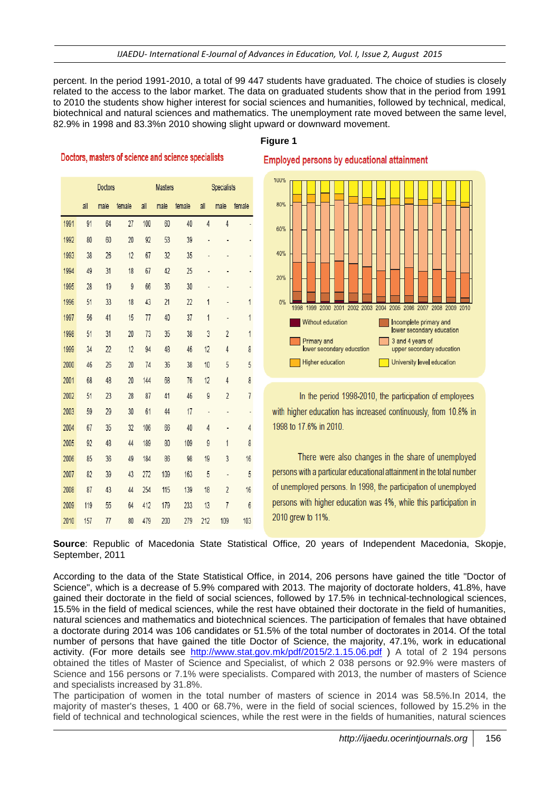percent. In the period 1991-2010, a total of 99 447 students have graduated. The choice of studies is closely related to the access to the labor market. The data on graduated students show that in the period from 1991 to 2010 the students show higher interest for social sciences and humanities, followed by technical, medical, biotechnical and natural sciences and mathematics. The unemployment rate moved between the same level, 82.9% in 1998 and 83.3%n 2010 showing slight upward or downward movement.

#### **Figure 1**

#### Doctors, masters of science and science specialists

|      | <b>Doctors</b> |      |        | <b>Masters</b> |      |        | <b>Specialists</b> |                |                |  |
|------|----------------|------|--------|----------------|------|--------|--------------------|----------------|----------------|--|
|      | all            | male | female | all            | male | female | all                | male           | female         |  |
| 1991 | 91             | 64   | 27     | 100            | 60   | 40     | $\overline{4}$     | $\overline{4}$ |                |  |
| 1992 | 80             | 60   | 20     | 92             | 53   | 39     |                    |                |                |  |
| 1993 | 38             | 26   | 12     | 67             | 32   | 35     |                    |                |                |  |
| 1994 | 49             | 31   | 18     | 67             | 42   | 25     |                    |                |                |  |
| 1995 | 28             | 19   | 9      | 66             | 36   | 30     |                    | $\overline{a}$ | ٠              |  |
| 1996 | 51             | 33   | 18     | 43             | 21   | 22     | 1                  |                | 1              |  |
| 1997 | 56             | 41   | 15     | 77             | 40   | 37     | 1                  |                | 1              |  |
| 1998 | 51             | 31   | 20     | 73             | 35   | 38     | 3                  | $\overline{2}$ | 1              |  |
| 1999 | 34             | 22   | 12     | 94             | 48   | 46     | 12                 | 4              | 8              |  |
| 2000 | 46             | 26   | 20     | 74             | 36   | 38     | 10                 | 5              | 5              |  |
| 2001 | 68             | 48   | 20     | 144            | 68   | 76     | 12                 | 4              | 8              |  |
| 2002 | 51             | 23   | 28     | 87             | 41   | 46     | 9                  | $\overline{2}$ | $\overline{7}$ |  |
| 2003 | 59             | 29   | 30     | 61             | 44   | 17     | $\frac{1}{2}$      |                |                |  |
| 2004 | 67             | 35   | 32     | 106            | 66   | 40     | 4                  |                | 4              |  |
| 2005 | 92             | 48   | 44     | 189            | 80   | 109    | $\overline{9}$     | 1              | 8              |  |
| 2006 | 85             | 36   | 49     | 184            | 86   | 98     | 19                 | 3              | 16             |  |
| 2007 | 82             | 39   | 43     | 272            | 109  | 163    | 5                  | $\overline{a}$ | 5              |  |
| 2008 | 87             | 43   | 44     | 254            | 115  | 139    | 18                 | $\overline{2}$ | 16             |  |
| 2009 | 119            | 55   | 64     | 412            | 179  | 233    | 13                 | 7              | 6              |  |
| 2010 | 157            | 77   | 80     | 479            | 200  | 279    | 212                | 109            | 103            |  |

**Employed persons by educational attainment** 



In the period 1998-2010, the participation of employees with higher education has increased continuously, from 10.8% in 1998 to 17.6% in 2010.

There were also changes in the share of unemployed persons with a particular educational attainment in the total number of unemployed persons. In 1998, the participation of unemployed persons with higher education was 4%, while this participation in 2010 grew to 11%.

**Source**: Republic of Macedonia State Statistical Office, 20 years of Independent Macedonia, Skopje, September, 2011

According to the data of the State Statistical Office, in 2014, 206 persons have gained the title "Doctor of Science", which is a decrease of 5.9% compared with 2013. The majority of doctorate holders, 41.8%, have gained their doctorate in the field of social sciences, followed by 17.5% in technical-technological sciences, 15.5% in the field of medical sciences, while the rest have obtained their doctorate in the field of humanities, natural sciences and mathematics and biotechnical sciences. The participation of females that have obtained a doctorate during 2014 was 106 candidates or 51.5% of the total number of doctorates in 2014. Of the total number of persons that have gained the title Doctor of Science, the majority, 47.1%, work in educational activity. (For more details see <http://www.stat.gov.mk/pdf/2015/2.1.15.06.pdf>) A total of 2 194 persons obtained the titles of Master of Science and Specialist, of which 2 038 persons or 92.9% were masters of Science and 156 persons or 7.1% were specialists. Compared with 2013, the number of masters of Science and specialists increased by 31.8%.

The participation of women in the total number of masters of science in 2014 was 58.5%.In 2014, the majority of master's theses, 1 400 or 68.7%, were in the field of social sciences, followed by 15.2% in the field of technical and technological sciences, while the rest were in the fields of humanities, natural sciences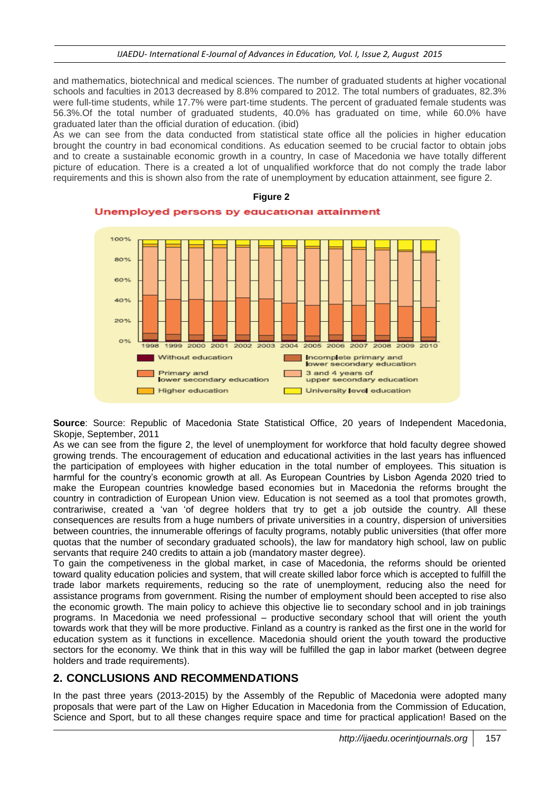and mathematics, biotechnical and medical sciences. The number of graduated students at higher vocational schools and faculties in 2013 decreased by 8.8% compared to 2012. The total numbers of graduates, 82.3% were full-time students, while 17.7% were part-time students. The percent of graduated female students was 56.3%.Of the total number of graduated students, 40.0% has graduated on time, while 60.0% have graduated later than the official duration of education. (ibid)

As we can see from the data conducted from statistical state office all the policies in higher education brought the country in bad economical conditions. As education seemed to be crucial factor to obtain jobs and to create a sustainable economic growth in a country, In case of Macedonia we have totally different picture of education. There is a created a lot of unqualified workforce that do not comply the trade labor requirements and this is shown also from the rate of unemployment by education attainment, see figure 2.



**Source**: Source: Republic of Macedonia State Statistical Office, 20 years of Independent Macedonia, Skopje, September, 2011

As we can see from the figure 2, the level of unemployment for workforce that hold faculty degree showed growing trends. The encouragement of education and educational activities in the last years has influenced the participation of employees with higher education in the total number of employees. This situation is harmful for the country's economic growth at all. As European Countries by Lisbon Agenda 2020 tried to make the European countries knowledge based economies but in Macedonia the reforms brought the country in contradiction of European Union view. Education is not seemed as a tool that promotes growth, contrariwise, created a 'van 'of degree holders that try to get a job outside the country. All these consequences are results from a huge numbers of private universities in a country, dispersion of universities between countries, the innumerable offerings of faculty programs, notably public universities (that offer more quotas that the number of secondary graduated schools), the law for mandatory high school, law on public servants that require 240 credits to attain a job (mandatory master degree).

To gain the competiveness in the global market, in case of Macedonia, the reforms should be oriented toward quality education policies and system, that will create skilled labor force which is accepted to fulfill the trade labor markets requirements, reducing so the rate of unemployment, reducing also the need for assistance programs from government. Rising the number of employment should been accepted to rise also the economic growth. The main policy to achieve this objective lie to secondary school and in job trainings programs. In Macedonia we need professional – productive secondary school that will orient the youth towards work that they will be more productive. Finland as a country is ranked as the first one in the world for education system as it functions in excellence. Macedonia should orient the youth toward the productive sectors for the economy. We think that in this way will be fulfilled the gap in labor market (between degree holders and trade requirements).

## **2. CONCLUSIONS AND RECOMMENDATIONS**

In the past three years (2013-2015) by the Assembly of the Republic of Macedonia were adopted many proposals that were part of the Law on Higher Education in Macedonia from the Commission of Education, Science and Sport, but to all these changes require space and time for practical application! Based on the